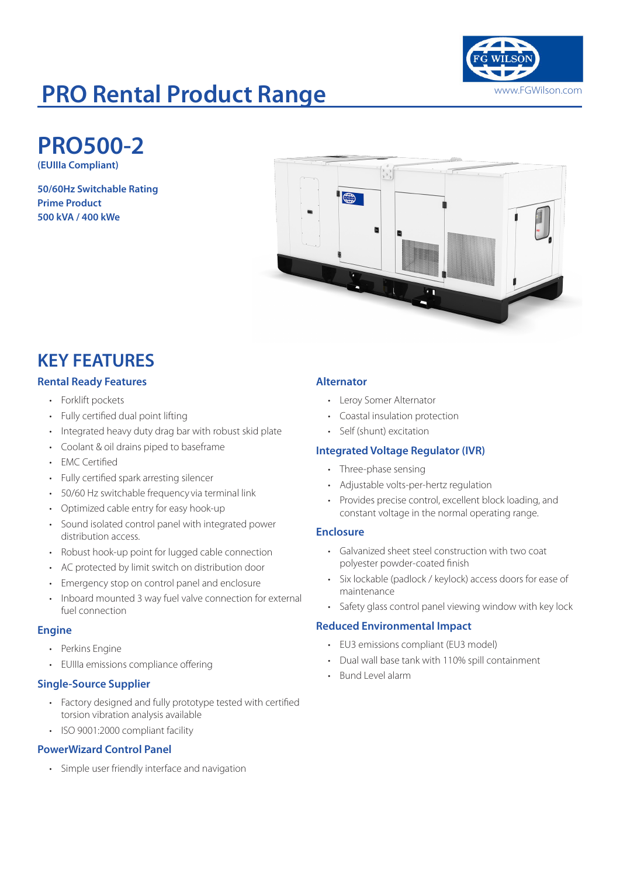

# **PRO Rental Product Range Williams Community Range William Community Range Rental Product Range My Rental Rental Rental Rental Rental Rental Rental Rental Rental Rental Rental Rental Rental Rental Rental Rental Rental Rent**

**PRO500-2**

**(EUIIIa Compliant)**

**50/60Hz Switchable Rating Prime Product 500 kVA / 400 kWe**



## **KEY FEATURES**

### **Rental Ready Features**

- Forklift pockets
- Fully certified dual point lifting
- Integrated heavy duty drag bar with robust skid plate
- Coolant & oil drains piped to baseframe
- **EMC** Certified
- Fully certified spark arresting silencer
- 50/60 Hz switchable frequency via terminal link
- Optimized cable entry for easy hook-up
- Sound isolated control panel with integrated power distribution access.
- Robust hook-up point for lugged cable connection
- AC protected by limit switch on distribution door
- Emergency stop on control panel and enclosure
- Inboard mounted 3 way fuel valve connection for external fuel connection

#### **Engine**

- Perkins Engine
- EUIIIa emissions compliance offering

### **Single-Source Supplier**

- Factory designed and fully prototype tested with certified torsion vibration analysis available
- ISO 9001:2000 compliant facility

### **PowerWizard Control Panel**

• Simple user friendly interface and navigation

### **Alternator**

- Leroy Somer Alternator
- Coastal insulation protection
- Self (shunt) excitation

### **Integrated Voltage Regulator (IVR)**

- Three-phase sensing
- Adjustable volts-per-hertz regulation
- Provides precise control, excellent block loading, and constant voltage in the normal operating range.

#### **Enclosure**

- Galvanized sheet steel construction with two coat polyester powder-coated finish
- Six lockable (padlock / keylock) access doors for ease of maintenance
- Safety glass control panel viewing window with key lock

### **Reduced Environmental Impact**

- EU3 emissions compliant (EU3 model)
- Dual wall base tank with 110% spill containment
- Bund Level alarm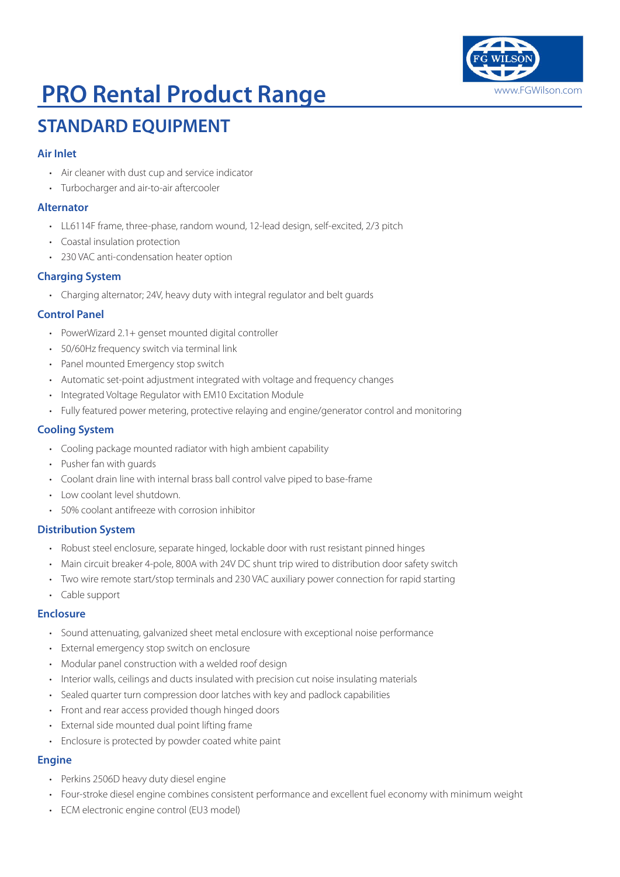

# **PRO Rental Product Range William Strange Wilson.com**

## **STANDARD EQUIPMENT**

### **Air Inlet**

- Air cleaner with dust cup and service indicator
- Turbocharger and air-to-air aftercooler

### **Alternator**

- LL6114F frame, three-phase, random wound, 12-lead design, self-excited, 2/3 pitch
- Coastal insulation protection
- 230 VAC anti-condensation heater option

### **Charging System**

• Charging alternator; 24V, heavy duty with integral regulator and belt guards

### **Control Panel**

- PowerWizard 2.1+ genset mounted digital controller
- 50/60Hz frequency switch via terminal link
- Panel mounted Emergency stop switch
- Automatic set-point adjustment integrated with voltage and frequency changes
- Integrated Voltage Regulator with EM10 Excitation Module
- Fully featured power metering, protective relaying and engine/generator control and monitoring

### **Cooling System**

- Cooling package mounted radiator with high ambient capability
- Pusher fan with guards
- Coolant drain line with internal brass ball control valve piped to base-frame
- Low coolant level shutdown.
- 50% coolant antifreeze with corrosion inhibitor

### **Distribution System**

- Robust steel enclosure, separate hinged, lockable door with rust resistant pinned hinges
- Main circuit breaker 4-pole, 800A with 24V DC shunt trip wired to distribution door safety switch
- Two wire remote start/stop terminals and 230 VAC auxiliary power connection for rapid starting
- Cable support

### **Enclosure**

- Sound attenuating, galvanized sheet metal enclosure with exceptional noise performance
- External emergency stop switch on enclosure
- Modular panel construction with a welded roof design
- Interior walls, ceilings and ducts insulated with precision cut noise insulating materials
- Sealed quarter turn compression door latches with key and padlock capabilities
- Front and rear access provided though hinged doors
- External side mounted dual point lifting frame
- Enclosure is protected by powder coated white paint

### **Engine**

- Perkins 2506D heavy duty diesel engine
- Four-stroke diesel engine combines consistent performance and excellent fuel economy with minimum weight
- ECM electronic engine control (EU3 model)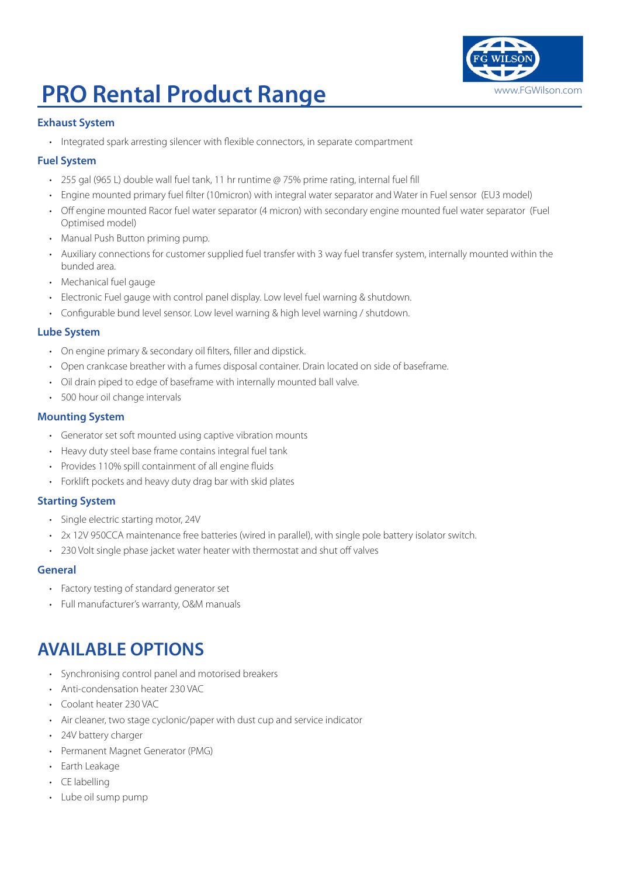## **PRO Rental Product Range William Strump Were Range and Allen Range Milkon.com**

### **Exhaust System**

• Integrated spark arresting silencer with flexible connectors, in separate compartment

### **Fuel System**

- 255 gal (965 L) double wall fuel tank, 11 hr runtime @ 75% prime rating, internal fuel fill
- Engine mounted primary fuel filter (10micron) with integral water separator and Water in Fuel sensor (EU3 model)
- Off engine mounted Racor fuel water separator (4 micron) with secondary engine mounted fuel water separator (Fuel Optimised model)
- Manual Push Button priming pump.
- Auxiliary connections for customer supplied fuel transfer with 3 way fuel transfer system, internally mounted within the bunded area.
- Mechanical fuel gauge
- Electronic Fuel gauge with control panel display. Low level fuel warning & shutdown.
- Configurable bund level sensor. Low level warning & high level warning / shutdown.

### **Lube System**

- On engine primary & secondary oil filters, filler and dipstick.
- Open crankcase breather with a fumes disposal container. Drain located on side of baseframe.
- Oil drain piped to edge of baseframe with internally mounted ball valve.
- 500 hour oil change intervals

### **Mounting System**

- Generator set soft mounted using captive vibration mounts
- Heavy duty steel base frame contains integral fuel tank
- Provides 110% spill containment of all engine fluids
- Forklift pockets and heavy duty drag bar with skid plates

#### **Starting System**

- Single electric starting motor, 24V
- 2x 12V 950CCA maintenance free batteries (wired in parallel), with single pole battery isolator switch.
- 230 Volt single phase jacket water heater with thermostat and shut off valves

#### **General**

- Factory testing of standard generator set
- Full manufacturer's warranty, O&M manuals

### **AVAILABLE OPTIONS**

- Synchronising control panel and motorised breakers
- Anti-condensation heater 230 VAC
- Coolant heater 230 VAC
- Air cleaner, two stage cyclonic/paper with dust cup and service indicator
- 24V battery charger
- Permanent Magnet Generator (PMG)
- Earth Leakage
- CE labelling
- Lube oil sump pump

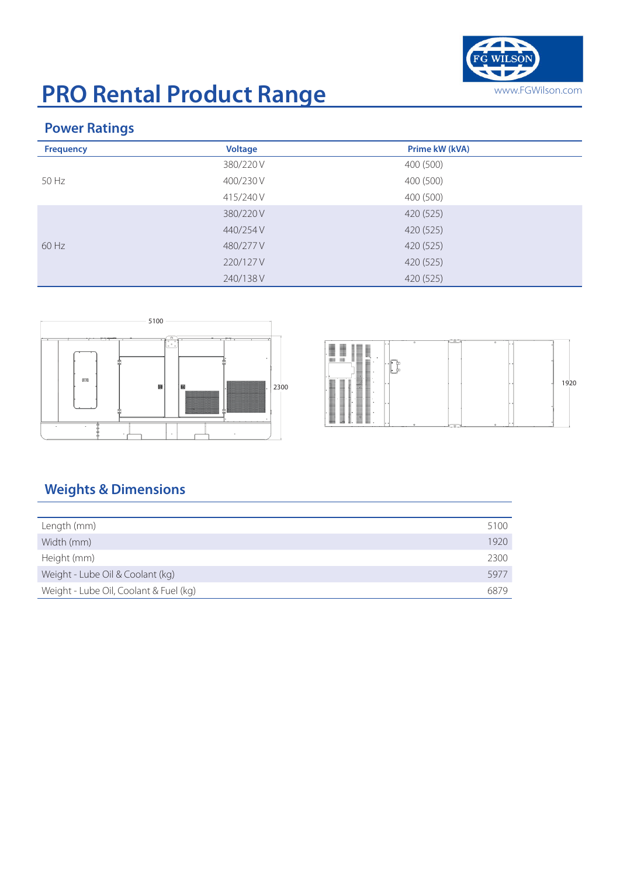

# **PRO Rental Product Range** WWW.FGWilson.com

### **Power Ratings**

| <b>Frequency</b> | <b>Voltage</b> | Prime kW (kVA) |
|------------------|----------------|----------------|
|                  | 380/220 V      | 400 (500)      |
| 50 Hz            | 400/230 V      | 400 (500)      |
|                  | 415/240 V      | 400 (500)      |
|                  | 380/220 V      | 420 (525)      |
|                  | 440/254 V      | 420 (525)      |
| $60$ Hz          | 480/277 V      | 420 (525)      |
|                  | 220/127 V      | 420 (525)      |
|                  | 240/138 V      | 420 (525)      |



|      | ▉<br>⊞<br><b>IIII</b> | <b>HIREBURY</b><br>٠ |    | $\circ$ | ÷   | $\circ$<br>ı.<br>u |      |
|------|-----------------------|----------------------|----|---------|-----|--------------------|------|
| 2300 | ı.                    |                      | ٠. |         |     | н                  | 1920 |
|      |                       | ٠                    | ٠. |         | --- | ı.                 |      |

### **Weights & Dimensions**

| Length (mm)                            | 5100 |
|----------------------------------------|------|
| Width (mm)                             | 1920 |
| Height (mm)                            | 2300 |
| Weight - Lube Oil & Coolant (kg)       | 5977 |
| Weight - Lube Oil, Coolant & Fuel (kg) | 6879 |
|                                        |      |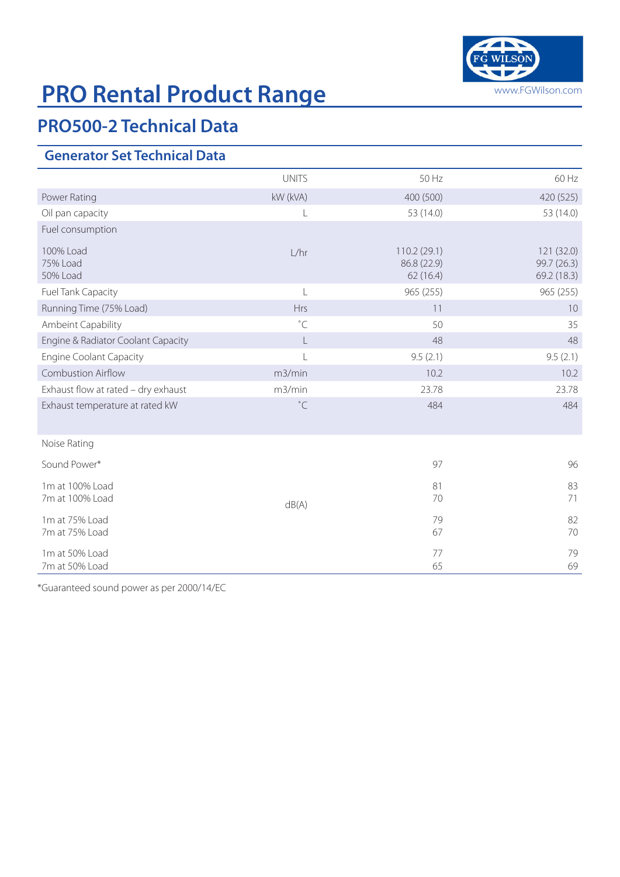

# **PRO Rental Product Range** WWW.FGWilson.com

## **PRO500-2 Technical Data**

### **Generator Set Technical Data**

|                                     | <b>UNITS</b>   | 50 Hz                                  | 60 Hz                                    |
|-------------------------------------|----------------|----------------------------------------|------------------------------------------|
| Power Rating                        | kW (kVA)       | 400 (500)                              | 420 (525)                                |
| Oil pan capacity                    | L              | 53 (14.0)                              | 53 (14.0)                                |
| Fuel consumption                    |                |                                        |                                          |
| 100% Load<br>75% Load<br>50% Load   | L/hr           | 110.2(29.1)<br>86.8 (22.9)<br>62(16.4) | 121 (32.0)<br>99.7 (26.3)<br>69.2 (18.3) |
| Fuel Tank Capacity                  | $\mathsf{L}$   | 965 (255)                              | 965 (255)                                |
| Running Time (75% Load)             | Hrs            | 11                                     | 10                                       |
| Ambeint Capability                  | $^{\circ}$ C   | 50                                     | 35                                       |
| Engine & Radiator Coolant Capacity  | L              | 48                                     | 48                                       |
| <b>Engine Coolant Capacity</b>      | $\overline{L}$ | 9.5(2.1)                               | 9.5(2.1)                                 |
| <b>Combustion Airflow</b>           | m3/min         | 10.2                                   | 10.2                                     |
| Exhaust flow at rated - dry exhaust | m3/min         | 23.78                                  | 23.78                                    |
| Exhaust temperature at rated kW     | $^{\circ}$ C   | 484                                    | 484                                      |
| Noise Rating                        |                |                                        |                                          |
| Sound Power*                        |                | 97                                     | 96                                       |
| 1m at 100% Load<br>7m at 100% Load  | dB(A)          | 81<br>70                               | 83<br>71                                 |
| 1m at 75% Load<br>7m at 75% Load    |                | 79<br>67                               | 82<br>70                                 |
| 1m at 50% Load<br>7m at 50% Load    |                | 77<br>65                               | 79<br>69                                 |

\*Guaranteed sound power as per 2000/14/EC